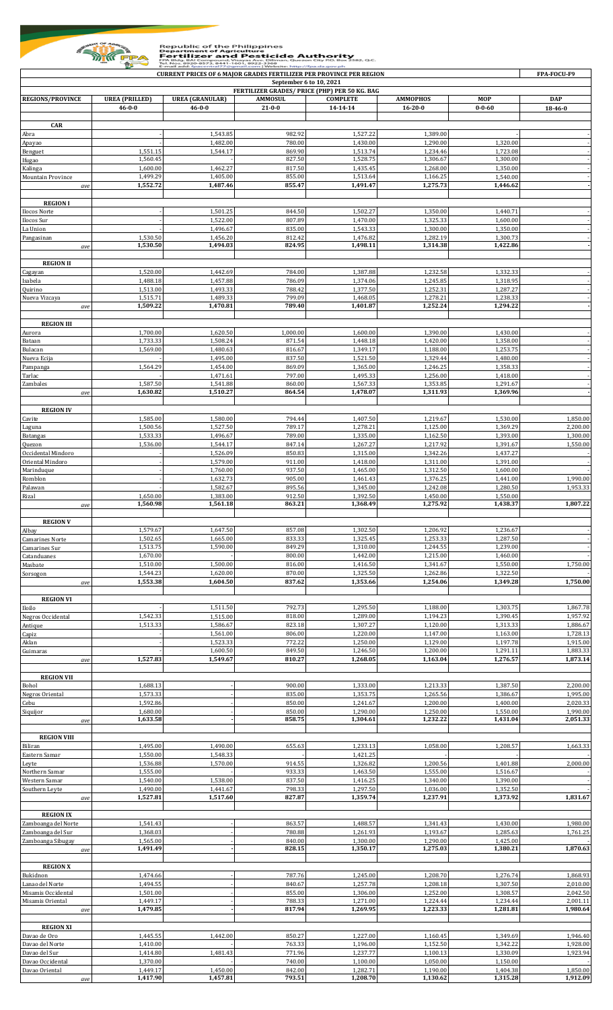

## Republic of the Philippines<br> **Example 1974**<br> **Example 1974**<br> **Example 1974**<br> **Example 1974**<br> **Example 1974 States and Apple 1974 States in the States of the States of the States of the States of the States of the States of**

| <b>CURRENT PRICES OF 6 MAJOR GRADES FERTILIZER PER PROVINCE PER REGION</b><br>September 6 to 10, 2021 |                                       |                                        |                                               |                                   |                                  |                            |                       |  |  |
|-------------------------------------------------------------------------------------------------------|---------------------------------------|----------------------------------------|-----------------------------------------------|-----------------------------------|----------------------------------|----------------------------|-----------------------|--|--|
|                                                                                                       |                                       |                                        | FERTILIZER GRADES/ PRICE (PHP) PER 50 KG. BAG |                                   |                                  |                            |                       |  |  |
| <b>REGIONS/PROVINCE</b>                                                                               | <b>UREA</b> (PRILLED)<br>$46 - 0 - 0$ | <b>UREA</b> (GRANULAR)<br>$46 - 0 - 0$ | <b>AMMOSUL</b><br>$21 - 0 - 0$                | <b>COMPLETE</b><br>$14 - 14 - 14$ | <b>AMMOPHOS</b><br>$16 - 20 - 0$ | <b>MOP</b><br>$0 - 0 - 60$ | <b>DAP</b><br>18-46-0 |  |  |
|                                                                                                       |                                       |                                        |                                               |                                   |                                  |                            |                       |  |  |
| <b>CAR</b><br>Abra                                                                                    |                                       | 1,543.85                               | 982.92                                        | 1,527.22                          | 1,389.00                         |                            |                       |  |  |
| Apayao                                                                                                |                                       | 1,482.00                               | 780.00                                        | 1,430.00                          | 1,290.00                         | 1,320.00                   |                       |  |  |
| Benguet<br>Ifugao                                                                                     | 1,551.15<br>1,560.45                  | 1,544.17                               | 869.90<br>827.50                              | 1,513.74<br>1,528.75              | 1,234.46<br>1,306.67             | 1,723.08<br>1,300.00       |                       |  |  |
| Kalinga                                                                                               | 1,600.00                              | 1,462.27                               | 817.50                                        | 1,435.45                          | 1,268.00                         | 1,350.00                   |                       |  |  |
| Mountain Province<br>ave                                                                              | 1,499.29<br>1,552.72                  | 1,405.00<br>1,487.46                   | 855.00<br>855.47                              | 1,513.64<br>1,491.47              | 1,166.25<br>1,275.73             | 1,540.00<br>1,446.62       |                       |  |  |
|                                                                                                       |                                       |                                        |                                               |                                   |                                  |                            |                       |  |  |
| <b>REGION I</b><br>Ilocos Norte                                                                       |                                       | 1,501.25                               | 844.50                                        | 1,502.27                          | 1,350.00                         | 1,440.71                   |                       |  |  |
| Ilocos Sur                                                                                            |                                       | 1,522.00                               | 807.89                                        | 1,470.00                          | 1,325.33                         | 1,600.00                   |                       |  |  |
| La Union<br>Pangasinan                                                                                | 1,530.50                              | 1,496.67<br>1,456.20                   | 835.00<br>812.42                              | 1,543.33<br>1,476.82              | 1,300.00<br>1,282.19             | 1,350.00<br>1,300.73       |                       |  |  |
| ave                                                                                                   | 1,530.50                              | 1,494.03                               | 824.95                                        | 1,498.11                          | 1,314.38                         | 1,422.86                   |                       |  |  |
| <b>REGION II</b>                                                                                      |                                       |                                        |                                               |                                   |                                  |                            |                       |  |  |
| Cagayan                                                                                               | 1,520.00                              | 1,442.69                               | 784.00                                        | 1,387.88                          | 1,232.58                         | 1,332.33                   |                       |  |  |
| Isabela<br>Quirino                                                                                    | 1,488.18                              | 1,457.88<br>1,493.33                   | 786.09<br>788.42                              | 1,374.06                          | 1,245.85                         | 1,318.95<br>1,287.27       |                       |  |  |
| Nueva Vizcaya                                                                                         | 1,513.00<br>1,515.71                  | 1,489.33                               | 799.09                                        | 1,377.50<br>1,468.05              | 1,252.31<br>1,278.21             | 1,238.33                   |                       |  |  |
| ave                                                                                                   | 1,509.22                              | 1,470.81                               | 789.40                                        | 1,401.87                          | 1,252.24                         | 1,294.22                   |                       |  |  |
| <b>REGION III</b>                                                                                     |                                       |                                        |                                               |                                   |                                  |                            |                       |  |  |
| Aurora                                                                                                | 1,700.00                              | 1,620.50                               | 1,000.00                                      | 1,600.00                          | 1,390.00                         | 1,430.00                   |                       |  |  |
| Bataan<br>Bulacan                                                                                     | 1,733.33<br>1,569.00                  | 1,508.24<br>1,480.63                   | 871.54<br>816.67                              | 1,448.18<br>1,349.17              | 1,420.00<br>1,188.00             | 1,358.00<br>1,253.75       |                       |  |  |
| Nueva Ecija                                                                                           |                                       | 1,495.00                               | 837.50                                        | 1,521.50                          | 1,329.44                         | 1,480.00                   |                       |  |  |
| Pampanga<br>Tarlac                                                                                    | 1,564.29                              | 1,454.00<br>1,471.61                   | 869.09<br>797.00                              | 1,365.00<br>1,495.33              | 1,246.25<br>1,256.00             | 1,358.33<br>1,418.00       |                       |  |  |
| Zambales                                                                                              | 1,587.50                              | 1,541.88                               | 860.00                                        | 1,567.33                          | 1,353.85                         | 1,291.67                   |                       |  |  |
| ave                                                                                                   | 1,630.82                              | 1,510.27                               | 864.54                                        | 1,478.07                          | 1,311.93                         | 1,369.96                   |                       |  |  |
| <b>REGION IV</b>                                                                                      |                                       |                                        |                                               |                                   |                                  |                            |                       |  |  |
| Cavite<br>Laguna                                                                                      | 1,585.00<br>1,500.56                  | 1,580.00<br>1,527.50                   | 794.44<br>789.17                              | 1,407.50<br>1,278.21              | 1,219.67<br>1,125.00             | 1,530.00<br>1,369.29       | 1,850.00<br>2,200.00  |  |  |
| Batangas                                                                                              | 1,533.33                              | 1,496.67                               | 789.00                                        | 1,335.00                          | 1,162.50                         | 1,393.00                   | 1,300.00              |  |  |
| Quezon                                                                                                | 1,536.00                              | 1,544.17                               | 847.14                                        | 1,267.27                          | 1,217.92                         | 1,391.67                   | 1,550.00              |  |  |
| Occidental Mindoro<br>Oriental Mindoro                                                                |                                       | 1,526.09<br>1,579.00                   | 850.83<br>911.00                              | 1,315.00<br>1,418.00              | 1,342.26<br>1,311.00             | 1,437.27<br>1,391.00       |                       |  |  |
| Marinduque                                                                                            |                                       | 1,760.00                               | 937.50                                        | 1,465.00                          | 1,312.50                         | 1,600.00                   |                       |  |  |
| Romblon<br>Palawan                                                                                    |                                       | 1,632.73<br>1,582.67                   | 905.00<br>895.56                              | 1,461.43<br>1,345.00              | 1,376.25<br>1,242.08             | 1,441.00<br>1,280.50       | 1,990.00<br>1,953.33  |  |  |
| Rizal                                                                                                 | 1,650.00<br>1,560.98                  | 1,383.00                               | 912.50                                        | 1,392.50                          | 1,450.00<br>1,275.92             | 1,550.00                   | 1,807.22              |  |  |
| ave                                                                                                   |                                       | 1,561.18                               | 863.21                                        | 1,368.49                          |                                  | 1,438.37                   |                       |  |  |
| <b>REGION V</b>                                                                                       | 1,579.67                              | 1,647.50                               | 857.08                                        |                                   | 1,206.92                         |                            |                       |  |  |
| Albay<br>Camarines Norte                                                                              | 1,502.65                              | 1,665.00                               | 833.33                                        | 1,302.50<br>1,325.45              | 1,253.33                         | 1,236.67<br>1,287.50       |                       |  |  |
| Camarines Sur                                                                                         | 1,513.75                              | 1,590.00                               | 849.29                                        | 1,310.00                          | 1,244.55                         | 1,239.00                   |                       |  |  |
| Catanduanes<br>Masbate                                                                                | 1,670.00<br>1,510.00                  | 1,500.00                               | 800.00<br>816.00                              | 1,442.00<br>1,416.50              | 1,215.00<br>1,341.67             | 1,460.00<br>1,550.00       | 1,750.00              |  |  |
| Sorsogon                                                                                              | 1,544.23                              | 1,620.00                               | 870.00                                        | 1,325.50                          | 1,262.86                         | 1,322.50                   |                       |  |  |
| ave                                                                                                   | 1,553.38                              | 1,604.50                               | 837.62                                        | 1,353.66                          | 1,254.06                         | 1,349.28                   | 1,750.00              |  |  |
| <b>REGION VI</b>                                                                                      |                                       |                                        |                                               |                                   |                                  |                            |                       |  |  |
| Iloilo<br>Negros Occidental                                                                           | 1,542.33                              | 1,511.50<br>1,515.00                   | 792.73<br>818.00                              | 1,295.50<br>1,289.00              | 1,188.00<br>1,194.23             | 1,303.75<br>1,390.45       | 1,867.78<br>1,957.92  |  |  |
| Antique                                                                                               | 1,513.33                              | 1,586.67                               | 823.18                                        | 1,307.27                          | 1,120.00                         | 1,313.33                   | 1,886.67              |  |  |
| Capiz<br>Aklan                                                                                        |                                       | 1,561.00<br>1,523.33                   | 806.00<br>772.22                              | 1,220.00<br>1,250.00              | 1,147.00<br>1,129.00             | 1,163.00<br>1,197.78       | 1,728.13<br>1,915.00  |  |  |
| Guimaras                                                                                              |                                       | 1,600.50                               | 849.50                                        | 1,246.50                          | 1,200.00                         | 1,291.11                   | 1,883.33              |  |  |
| ave                                                                                                   | 1,527.83                              | 1,549.67                               | 810.27                                        | 1,268.05                          | 1,163.04                         | 1,276.57                   | 1,873.14              |  |  |
| <b>REGION VII</b>                                                                                     |                                       |                                        |                                               |                                   |                                  |                            |                       |  |  |
| Bohol<br>Negros Oriental                                                                              | 1,688.13<br>1,573.33                  |                                        | 900.00<br>835.00                              | 1,333.00<br>1,353.75              | 1,213.33<br>1,265.56             | 1,387.50<br>1,386.67       | 2,200.00<br>1,995.00  |  |  |
| Cebu                                                                                                  | 1,592.86                              |                                        | 850.00                                        | 1,241.67                          | 1,200.00                         | 1,400.00                   | 2,020.33              |  |  |
| Siquijor<br>ave                                                                                       | 1,680.00<br>1,633.58                  |                                        | 850.00<br>858.75                              | 1,290.00<br>1,304.61              | 1,250.00<br>1,232.22             | 1,550.00<br>1,431.04       | 1,990.00<br>2,051.33  |  |  |
|                                                                                                       |                                       |                                        |                                               |                                   |                                  |                            |                       |  |  |
| <b>REGION VIII</b>                                                                                    | 1,495.00                              | 1,490.00                               | 655.63                                        | 1,233.13                          | 1,058.00                         | 1,208.57                   | 1,663.33              |  |  |
| Biliran<br>Eastern Samar                                                                              | 1,550.00                              | 1,548.33                               |                                               | 1,421.25                          |                                  |                            |                       |  |  |
| Leyte                                                                                                 | 1,536.88                              | 1,570.00                               | 914.55                                        | 1,326.82                          | 1,200.56                         | 1,401.88                   | 2,000.00              |  |  |
| Northern Samar<br>Western Samar                                                                       | 1,555.00<br>1,540.00                  | 1,538.00                               | 933.33<br>837.50                              | 1,463.50<br>1,416.25              | 1,555.00<br>1,340.00             | 1,516.67<br>1,390.00       |                       |  |  |
| Southern Leyte                                                                                        | 1,490.00                              | 1,441.67                               | 798.33<br>827.87                              | 1,297.50                          | 1,036.00                         | 1,352.50                   |                       |  |  |
| ave                                                                                                   | 1,527.81                              | 1,517.60                               |                                               | 1,359.74                          | 1,237.91                         | 1,373.92                   | 1,831.67              |  |  |
| <b>REGION IX</b>                                                                                      |                                       |                                        |                                               |                                   |                                  |                            |                       |  |  |
| Zamboanga del Norte<br>Zamboanga del Sur                                                              | 1,541.43<br>1,368.03                  |                                        | 863.57<br>780.88                              | 1,488.57<br>1,261.93              | 1,341.43<br>1,193.67             | 1,430.00<br>1,285.63       | 1,980.00<br>1,761.25  |  |  |
| Zamboanga Sibugay                                                                                     | 1,565.00                              |                                        | 840.00                                        | 1,300.00                          | 1,290.00                         | 1,425.00                   |                       |  |  |
| ave                                                                                                   | 1,491.49                              |                                        | 828.15                                        | 1,350.17                          | 1,275.03                         | 1,380.21                   | 1,870.63              |  |  |
| <b>REGION X</b>                                                                                       |                                       |                                        |                                               |                                   |                                  |                            |                       |  |  |
| Bukidnon<br>Lanao del Norte                                                                           | 1,474.66<br>1,494.55                  |                                        | 787.76<br>840.67                              | 1,245.00<br>1,257.78              | 1,208.70<br>1,208.18             | 1,276.74<br>1,307.50       | 1,868.93<br>2,010.00  |  |  |
| Misamis Occidental                                                                                    | 1,501.00                              |                                        | 855.00                                        | 1,306.00                          | 1,252.00                         | 1,308.57                   | 2,042.50              |  |  |
| Misamis Oriental<br>ave                                                                               | 1,449.17<br>1,479.85                  |                                        | 788.33<br>817.94                              | 1,271.00<br>1,269.95              | 1,224.44<br>1,223.33             | 1,234.44<br>1,281.81       | 2,001.11<br>1,980.64  |  |  |
|                                                                                                       |                                       |                                        |                                               |                                   |                                  |                            |                       |  |  |
| <b>REGION XI</b>                                                                                      | 1,445.55                              | 1,442.00                               |                                               |                                   |                                  |                            | 1,946.40              |  |  |
| Davao de Oro<br>Davao del Norte                                                                       | 1,410.00                              |                                        | 850.27<br>763.33                              | 1,227.00<br>1,196.00              | 1,160.45<br>1,152.50             | 1,349.69<br>1,342.22       | 1,928.00              |  |  |
| Davao del Sur                                                                                         | 1,414.80                              | 1,481.43                               | 771.96                                        | 1,237.77                          | 1,100.13                         | 1,330.09                   | 1,923.94              |  |  |
| Davao Occidental<br>Davao Oriental                                                                    | 1,370.00<br>1,449.17                  | 1,450.00                               | 740.00<br>842.00                              | 1,100.00<br>1,282.71              | 1,050.00<br>1,190.00             | 1,150.00<br>1,404.38       | 1,850.00              |  |  |
|                                                                                                       | 1.417.90                              | 1.457.81                               | 793.51                                        | 1.208.70                          | 1.130.62                         | 1.315.28                   | 1.912.09              |  |  |